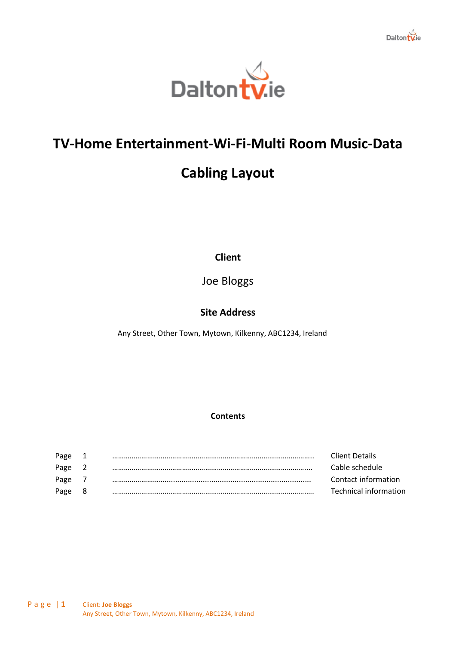



# **TV-Home Entertainment-Wi-Fi-Multi Room Music-Data**

# **Cabling Layout**

**Client**

Joe Bloggs

# **Site Address**

Any Street, Other Town, Mytown, Kilkenny, ABC1234, Ireland

## **Contents**

| Page | ᅩ   | Client Details        |
|------|-----|-----------------------|
| Page |     | Cable schedule        |
| Page |     | Contact information   |
| Page | - 8 | Technical information |
|      |     |                       |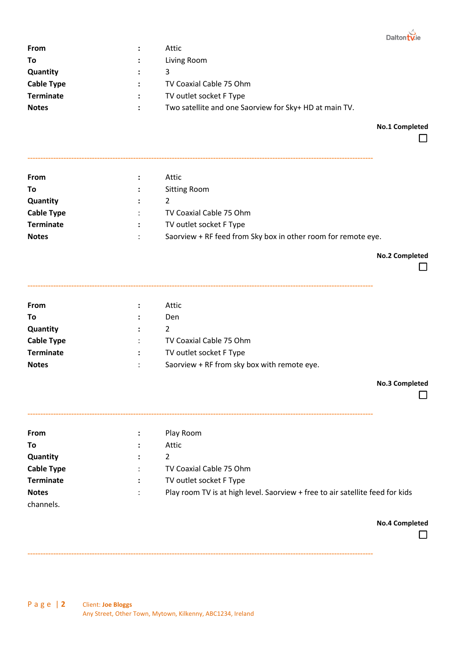

| From              | $\ddot{\phantom{a}}$ | Attic                                                  |
|-------------------|----------------------|--------------------------------------------------------|
| To                | $\mathcal{L}$        | Living Room                                            |
| Quantity          |                      | 3                                                      |
| <b>Cable Type</b> |                      | TV Coaxial Cable 75 Ohm                                |
| <b>Terminate</b>  |                      | TV outlet socket F Type                                |
| <b>Notes</b>      |                      | Two satellite and one Saorview for Sky+ HD at main TV. |

**No.1 Completed**

 $\Box$ 

| <b>From</b>       |                | Attic                                                         |
|-------------------|----------------|---------------------------------------------------------------|
| To                | $\ddot{\cdot}$ | <b>Sitting Room</b>                                           |
| Quantity          | $\mathcal{L}$  |                                                               |
| <b>Cable Type</b> |                | TV Coaxial Cable 75 Ohm                                       |
| <b>Terminate</b>  |                | TV outlet socket F Type                                       |
| <b>Notes</b>      |                | Saorview + RF feed from Sky box in other room for remote eye. |

**--------------------------------------------------------------------------------------------------------------------------------------**

**No.2 Completed**

| <b>From</b>       | ÷                    | Attic                                       |
|-------------------|----------------------|---------------------------------------------|
| To                | $\ddot{\cdot}$       | Den                                         |
| <b>Quantity</b>   | $\ddot{\phantom{a}}$ | 2                                           |
| <b>Cable Type</b> | $\ddot{\phantom{0}}$ | TV Coaxial Cable 75 Ohm                     |
| <b>Terminate</b>  | $\mathbf{L}$         | TV outlet socket F Type                     |
| <b>Notes</b>      | ٠<br>$\bullet$       | Saorview + RF from sky box with remote eye. |

**--------------------------------------------------------------------------------------------------------------------------------------**

**No.3 Completed**

 $\Box$ 

| <b>From</b>       | $\ddot{\cdot}$      | Play Room                                                                     |
|-------------------|---------------------|-------------------------------------------------------------------------------|
| To                | ٠<br>$\blacksquare$ | Attic                                                                         |
| Quantity          | ٠                   | 2                                                                             |
| <b>Cable Type</b> | ٠                   | TV Coaxial Cable 75 Ohm                                                       |
| <b>Terminate</b>  | $\ddot{\cdot}$      | TV outlet socket F Type                                                       |
| <b>Notes</b>      |                     | Play room TV is at high level. Saorview + free to air satellite feed for kids |
| channels.         |                     |                                                                               |

**--------------------------------------------------------------------------------------------------------------------------------------**

**No.4 Completed**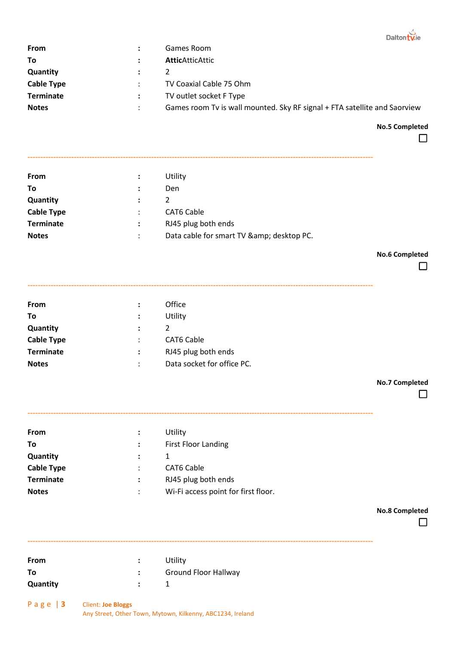| <b>From</b>       |                      | Games Room                                                                |
|-------------------|----------------------|---------------------------------------------------------------------------|
| To                |                      | <b>AtticAtticAttic</b>                                                    |
| <b>Quantity</b>   | $\ddot{\phantom{a}}$ |                                                                           |
| <b>Cable Type</b> |                      | TV Coaxial Cable 75 Ohm                                                   |
| <b>Terminate</b>  |                      | TV outlet socket F Type                                                   |
| <b>Notes</b>      |                      | Games room Tv is wall mounted. Sky RF signal + FTA satellite and Saorview |

**No.5 Completed**

 $\Box$ 

Daltontvie

| From              | $\ddot{\phantom{a}}$ | Utility                                    |
|-------------------|----------------------|--------------------------------------------|
| Τo                |                      | Den                                        |
| Quantity          |                      | 2                                          |
| <b>Cable Type</b> | $\ddot{\phantom{a}}$ | CAT6 Cable                                 |
| <b>Terminate</b>  | $\ddot{\phantom{a}}$ | RJ45 plug both ends                        |
| <b>Notes</b>      | ٠                    | Data cable for smart TV & amp; desktop PC. |

**--------------------------------------------------------------------------------------------------------------------------------------**

**--------------------------------------------------------------------------------------------------------------------------------------**

**No.6 Completed**

 $\Box$ 

| <b>From</b>       | :                    | Office                     |
|-------------------|----------------------|----------------------------|
| Τo                | $\ddot{\phantom{a}}$ | Utility                    |
| Quantity          | :                    |                            |
| <b>Cable Type</b> | $\ddot{\phantom{a}}$ | <b>CAT6 Cable</b>          |
| <b>Terminate</b>  | :                    | RJ45 plug both ends        |
| <b>Notes</b>      | ٠<br>٠               | Data socket for office PC. |

**No.7 Completed**

 $\Box$ 

| <b>From</b>       | ÷                    | Utility                             |
|-------------------|----------------------|-------------------------------------|
| To                | $\ddot{\phantom{a}}$ | <b>First Floor Landing</b>          |
| Quantity          | ÷                    |                                     |
| <b>Cable Type</b> | ÷                    | <b>CAT6 Cable</b>                   |
| <b>Terminate</b>  | :                    | RJ45 plug both ends                 |
| <b>Notes</b>      | ٠                    | Wi-Fi access point for first floor. |

**--------------------------------------------------------------------------------------------------------------------------------------**

**--------------------------------------------------------------------------------------------------------------------------------------**

**No.8 Completed**

 $\Box$ 

| <b>From</b> | Utility              |
|-------------|----------------------|
| To          | Ground Floor Hallway |
| Quantity    |                      |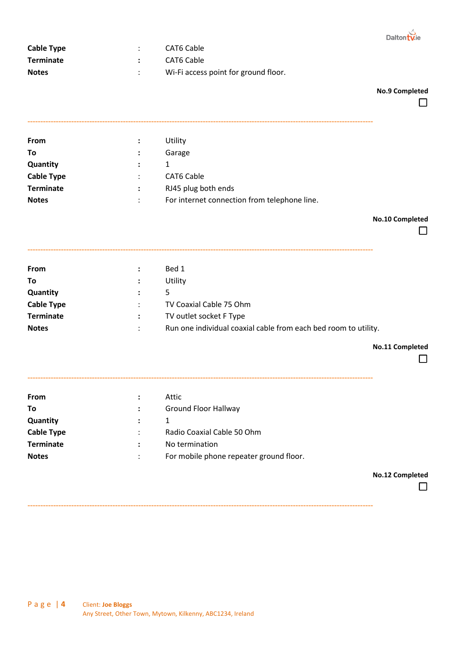

| Cable Type       | CAT6 Cable                           |
|------------------|--------------------------------------|
| <b>Terminate</b> | CAT6 Cable                           |
| <b>Notes</b>     | Wi-Fi access point for ground floor. |

#### **No.9 Completed**

| $\ddot{\cdot}$ | Utility                                      |
|----------------|----------------------------------------------|
| $\ddot{\cdot}$ | Garage                                       |
| $\mathbb{R}^n$ |                                              |
| $\ddot{\cdot}$ | <b>CAT6 Cable</b>                            |
| $\mathbf{L}$   | RJ45 plug both ends                          |
|                | For internet connection from telephone line. |
|                |                                              |

**--------------------------------------------------------------------------------------------------------------------------------------**

#### **No.10 Completed**

| - | г | <br><b>Service Service</b><br>٠ |  |  |  |
|---|---|---------------------------------|--|--|--|
|   |   |                                 |  |  |  |

| From              | $\ddot{\phantom{a}}$ | Bed 1                                                           |
|-------------------|----------------------|-----------------------------------------------------------------|
| To                | $\ddot{\phantom{a}}$ | Utility                                                         |
| Quantity          | $\ddot{\phantom{a}}$ | 5.                                                              |
| <b>Cable Type</b> |                      | TV Coaxial Cable 75 Ohm                                         |
| <b>Terminate</b>  |                      | TV outlet socket F Type                                         |
| <b>Notes</b>      |                      | Run one individual coaxial cable from each bed room to utility. |

**--------------------------------------------------------------------------------------------------------------------------------------**

**--------------------------------------------------------------------------------------------------------------------------------------**

#### **No.11 Completed**

 $\Box$ 

| From              | ÷              | Attic                                   |
|-------------------|----------------|-----------------------------------------|
| Τo                |                | Ground Floor Hallway                    |
| <b>Quantity</b>   |                |                                         |
| <b>Cable Type</b> | $\ddot{\cdot}$ | Radio Coaxial Cable 50 Ohm              |
| <b>Terminate</b>  | ÷              | No termination                          |
| <b>Notes</b>      | ٠              | For mobile phone repeater ground floor. |

**No.12 Completed**

 $\Box$ 

**--------------------------------------------------------------------------------------------------------------------------------------**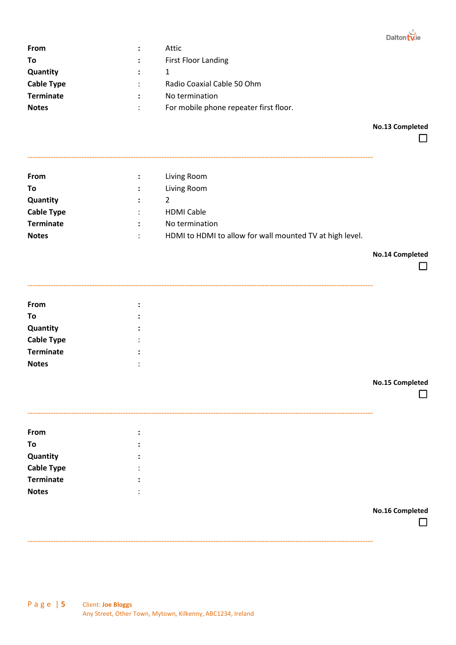

| <b>From</b>       | ÷              | Attic                                  |
|-------------------|----------------|----------------------------------------|
| Τo                | $\ddot{\cdot}$ | <b>First Floor Landing</b>             |
| Quantity          | $\mathbb{R}^n$ |                                        |
| <b>Cable Type</b> | $\ddot{\cdot}$ | Radio Coaxial Cable 50 Ohm             |
| <b>Terminate</b>  |                | No termination                         |
| <b>Notes</b>      |                | For mobile phone repeater first floor. |
|                   |                |                                        |

**No.13 Completed**

 $\Box$ 

| <b>From</b>       | $\mathcal{L}$        | Living Room                                              |
|-------------------|----------------------|----------------------------------------------------------|
| To                |                      | Living Room                                              |
| <b>Quantity</b>   | $\mathcal{L}$        | 2                                                        |
| <b>Cable Type</b> | $\ddot{\phantom{a}}$ | <b>HDMI Cable</b>                                        |
| <b>Terminate</b>  | $\ddot{\phantom{a}}$ | No termination                                           |
| <b>Notes</b>      | ÷                    | HDMI to HDMI to allow for wall mounted TV at high level. |

**--------------------------------------------------------------------------------------------------------------------------------------**

**No.14 Completed**

 $\Box$ 

|                                              | $\bullet$              |
|----------------------------------------------|------------------------|
| From                                         | $\bullet$              |
| To                                           | $\bullet$<br>$\bullet$ |
|                                              | $\bullet$<br>$\bullet$ |
| <b>Quantity<br/>Cable Type<br/>Terminate</b> | $\bullet$<br>$\bullet$ |
|                                              | $\bullet$<br>$\bullet$ |
| <b>Notes</b>                                 | $\bullet$<br>$\cdot$   |
|                                              |                        |

| <b>No.15 Completed</b> |  |  |
|------------------------|--|--|
|------------------------|--|--|

|                                              | -----------------      |
|----------------------------------------------|------------------------|
| From                                         | $\bullet$              |
| To                                           | $\bullet$<br>$\bullet$ |
| <b>Quantity<br/>Cable Type<br/>Terminate</b> | $\bullet$              |
|                                              | $\cdot$                |
|                                              | $\bullet$              |
| <b>Notes</b>                                 | $\cdot$                |
|                                              |                        |

**--------------------------------------------------------------------------------------------------------------------------------------**

**No.16 Completed**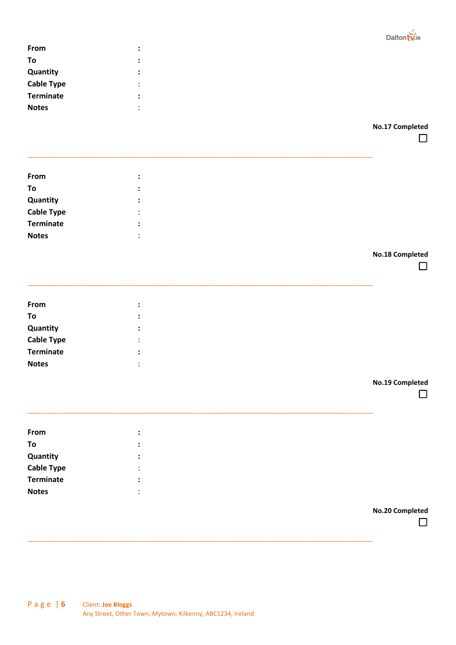

| From              | ٠<br>$\bullet$         |  |  |
|-------------------|------------------------|--|--|
| To                | ÷                      |  |  |
| Quantity          | $\bullet$<br>$\bullet$ |  |  |
| <b>Cable Type</b> | $\bullet$<br>$\bullet$ |  |  |
| <b>Terminate</b>  | ٠<br>$\bullet$         |  |  |
| <b>Notes</b>      | $\cdot$<br>$\cdot$     |  |  |
|                   |                        |  |  |

**No.17 Completed**

 $\Box$ 

| From              |                |                 |
|-------------------|----------------|-----------------|
| To                |                |                 |
| Quantity          |                |                 |
| <b>Cable Type</b> |                |                 |
| <b>Terminate</b>  |                |                 |
| <b>Notes</b>      |                |                 |
|                   |                | No.18 Completed |
|                   |                | - 1             |
| From              |                |                 |
|                   | $\ddot{\cdot}$ |                 |
| To                |                |                 |
| Quantity          |                |                 |
| <b>Cable Type</b> |                |                 |
| <b>Terminate</b>  |                |                 |
| <b>Notes</b>      |                |                 |
|                   |                | No.19 Completed |
|                   |                |                 |
| From              |                |                 |
| To                |                |                 |
| Quantity          |                |                 |
| <b>Cable Type</b> |                |                 |
| <b>Terminate</b>  |                |                 |
| <b>Notes</b>      |                |                 |
|                   |                |                 |
|                   |                | No.20 Completed |

**--------------------------------------------------------------------------------------------------------------------------------------**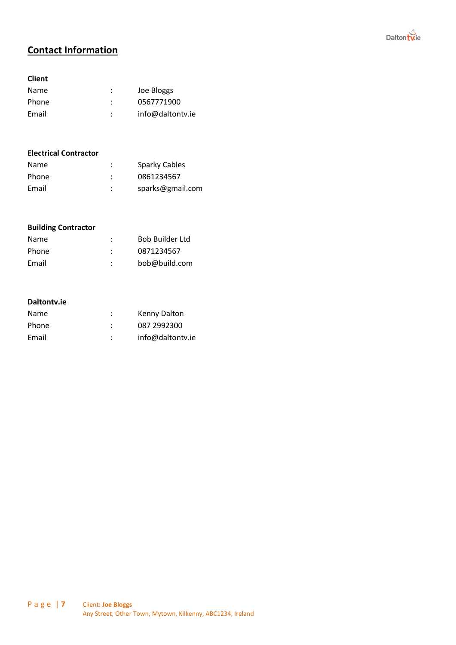

# **Contact Information**

#### **Client**

| <b>Name</b> | ٠<br>٠ | Joe Bloggs       |
|-------------|--------|------------------|
| Phone       | ٠      | 0567771900       |
| Email       | ٠      | info@daltontv.ie |

#### **Electrical Contractor**

| <b>Name</b> | ٠      | Sparky Cables    |
|-------------|--------|------------------|
| Phone       | ٠      | 0861234567       |
| Email       | ٠<br>٠ | sparks@gmail.com |

### **Building Contractor**

| <b>Name</b> | ٠<br>٠ | <b>Bob Builder Ltd</b> |
|-------------|--------|------------------------|
| Phone       | ٠      | 0871234567             |
| Email       | ٠<br>٠ | bob@build.com          |

#### **Daltontv.ie**

| <b>Name</b> |   | Kenny Dalton     |
|-------------|---|------------------|
| Phone       |   | 087 2992300      |
| Email       | ٠ | info@daltontv.ie |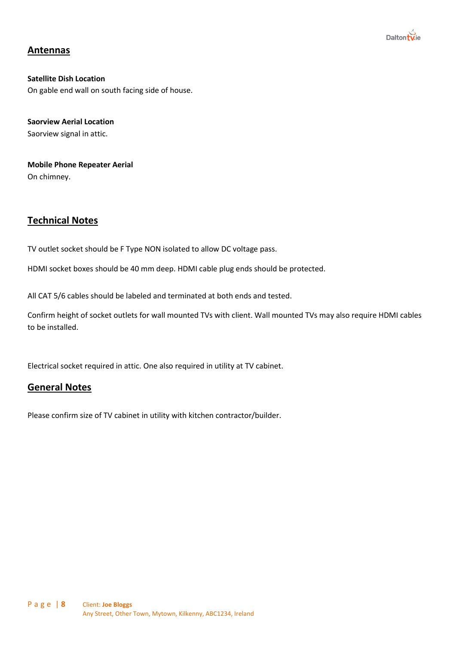

# **Antennas**

**Satellite Dish Location** On gable end wall on south facing side of house.

**Saorview Aerial Location** Saorview signal in attic.

**Mobile Phone Repeater Aerial** On chimney.

# **Technical Notes**

TV outlet socket should be F Type NON isolated to allow DC voltage pass.

HDMI socket boxes should be 40 mm deep. HDMI cable plug ends should be protected.

All CAT 5/6 cables should be labeled and terminated at both ends and tested.

Confirm height of socket outlets for wall mounted TVs with client. Wall mounted TVs may also require HDMI cables to be installed.

Electrical socket required in attic. One also required in utility at TV cabinet.

### **General Notes**

Please confirm size of TV cabinet in utility with kitchen contractor/builder.